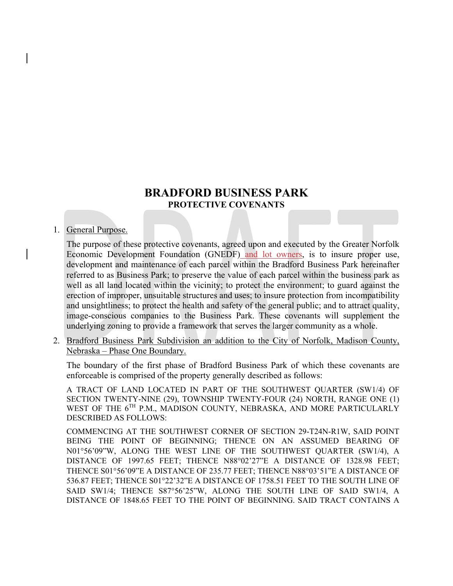# **BRADFORD BUSINESS PARK PROTECTIVE COVENANTS**

#### 1. General Purpose.

The purpose of these protective covenants, agreed upon and executed by the Greater Norfolk Economic Development Foundation (GNEDF) and lot owners, is to insure proper use, development and maintenance of each parcel within the Bradford Business Park hereinafter referred to as Business Park; to preserve the value of each parcel within the business park as well as all land located within the vicinity; to protect the environment; to guard against the erection of improper, unsuitable structures and uses; to insure protection from incompatibility and unsightliness; to protect the health and safety of the general public; and to attract quality, image-conscious companies to the Business Park. These covenants will supplement the underlying zoning to provide a framework that serves the larger community as a whole.

2. Bradford Business Park Subdivision an addition to the City of Norfolk, Madison County, Nebraska – Phase One Boundary.

The boundary of the first phase of Bradford Business Park of which these covenants are enforceable is comprised of the property generally described as follows:

A TRACT OF LAND LOCATED IN PART OF THE SOUTHWEST QUARTER (SW1/4) OF SECTION TWENTY-NINE (29), TOWNSHIP TWENTY-FOUR (24) NORTH, RANGE ONE (1) WEST OF THE 6<sup>TH</sup> P.M., MADISON COUNTY, NEBRASKA, AND MORE PARTICULARLY DESCRIBED AS FOLLOWS:

COMMENCING AT THE SOUTHWEST CORNER OF SECTION 29-T24N-R1W, SAID POINT BEING THE POINT OF BEGINNING; THENCE ON AN ASSUMED BEARING OF N0156'09"W, ALONG THE WEST LINE OF THE SOUTHWEST QUARTER (SW1/4), A DISTANCE OF 1997.65 FEET; THENCE N88°02'27"E A DISTANCE OF 1328.98 FEET; THENCE S01°56'09"E A DISTANCE OF 235.77 FEET; THENCE N88°03'51"E A DISTANCE OF 536.87 FEET; THENCE S01°22'32"E A DISTANCE OF 1758.51 FEET TO THE SOUTH LINE OF SAID SW1/4; THENCE S87°56'25"W, ALONG THE SOUTH LINE OF SAID SW1/4, A DISTANCE OF 1848.65 FEET TO THE POINT OF BEGINNING. SAID TRACT CONTAINS A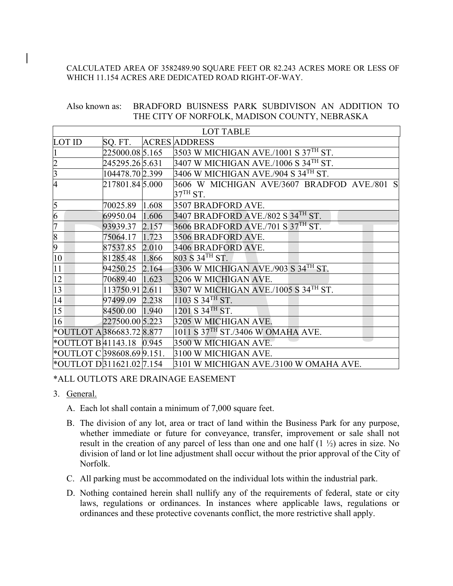#### CALCULATED AREA OF 3582489.90 SQUARE FEET OR 82.243 ACRES MORE OR LESS OF WHICH 11.154 ACRES ARE DEDICATED ROAD RIGHT-OF-WAY.

#### Also known as: BRADFORD BUISNESS PARK SUBDIVISON AN ADDITION TO THE CITY OF NORFOLK, MADISON COUNTY, NEBRASKA

| <b>LOT TABLE</b>                     |                 |       |                                                           |  |  |  |
|--------------------------------------|-----------------|-------|-----------------------------------------------------------|--|--|--|
| <b>LOT ID</b>                        | SQ. FT.         |       | <b>ACRES ADDRESS</b>                                      |  |  |  |
| $\mathbf{1}$                         | 225000.085.165  |       | $3503$ W MICHIGAN AVE./1001 S $37TH$ ST.                  |  |  |  |
| $\frac{2}{3}$                        | 245295.26 5.631 |       | $3407$ W MICHIGAN AVE./1006 S 34 <sup>TH</sup> ST.        |  |  |  |
|                                      | 104478.70 2.399 |       | $3406~\rm{W}$ MICHIGAN AVE./904 S 34 $^{\rm{TH}}$ ST.     |  |  |  |
| $\overline{4}$                       | 217801.845.000  |       | 3606 W MICHIGAN AVE/3607 BRADFOD AVE./801 S<br>$37TH$ ST. |  |  |  |
| $\overline{5}$                       | 70025.89        | 1.608 | 3507 BRADFORD AVE.                                        |  |  |  |
| $\frac{6}{7}$                        | 69950.04        | 1.606 | $3407$ BRADFORD AVE./802 S $34TH$ ST.                     |  |  |  |
|                                      | 93939.37        | 2.157 | $3606$ BRADFORD AVE./701 S 37 <sup>th</sup> ST.           |  |  |  |
| $\frac{8}{9}$                        | 75064.17        | 1.723 | 3506 BRADFORD AVE.                                        |  |  |  |
|                                      | 87537.85 2.010  |       | 3406 BRADFORD AVE.                                        |  |  |  |
| 10                                   | 81285.48        | 1.866 | $803 S 34$ <sup>TH</sup> ST.                              |  |  |  |
| $\overline{11}$                      | 94250.25 2.164  |       | 3306 W MICHIGAN AVE./903 S 34TH ST.                       |  |  |  |
| $\overline{12}$                      | 70689.40        | 1.623 | 3206 W MICHIGAN AVE.                                      |  |  |  |
| $\overline{13}$                      | 113750.91 2.611 |       | $3307$ W MICHIGAN AVE./1005 S 34TH ST.                    |  |  |  |
| $\overline{14}$                      | 97499.09 2.238  |       | $1103 S 34$ <sup>TH</sup> ST.                             |  |  |  |
| $\overline{15}$                      | 84500.00 1.940  |       | $1201 S$ 34 <sup>TH</sup> ST.                             |  |  |  |
| $\overline{16}$                      | 227500.00 5.223 |       | 3205 W MICHIGAN AVE.                                      |  |  |  |
| *OUTLOT A 386683.72 8.877            |                 |       | 1011 S 37 <sup>TH</sup> ST./3406 W OMAHA AVE.             |  |  |  |
| *OUTLOT B41143.18 0.945              |                 |       | 3500 W MICHIGAN AVE.                                      |  |  |  |
| *OUTLOT C 398608.69 9.151.           |                 |       | 3100 W MICHIGAN AVE.                                      |  |  |  |
| *OUTLOT D <sub>311621.02</sub> 7.154 |                 |       | 3101 W MICHIGAN AVE./3100 W OMAHA AVE.                    |  |  |  |

#### \*ALL OUTLOTS ARE DRAINAGE EASEMENT

- 3. General.
	- A. Each lot shall contain a minimum of 7,000 square feet.
	- B. The division of any lot, area or tract of land within the Business Park for any purpose, whether immediate or future for conveyance, transfer, improvement or sale shall not result in the creation of any parcel of less than one and one half (1 ½) acres in size. No division of land or lot line adjustment shall occur without the prior approval of the City of Norfolk.
	- C. All parking must be accommodated on the individual lots within the industrial park.
	- D. Nothing contained herein shall nullify any of the requirements of federal, state or city laws, regulations or ordinances. In instances where applicable laws, regulations or ordinances and these protective covenants conflict, the more restrictive shall apply.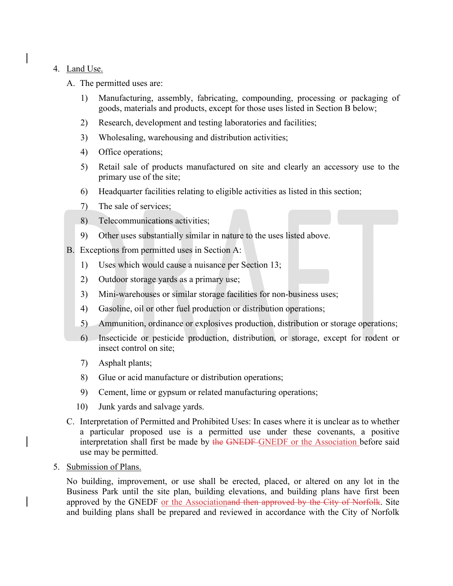## 4. Land Use.

- A. The permitted uses are:
	- 1) Manufacturing, assembly, fabricating, compounding, processing or packaging of goods, materials and products, except for those uses listed in Section B below;
	- 2) Research, development and testing laboratories and facilities;
	- 3) Wholesaling, warehousing and distribution activities;
	- 4) Office operations;
	- 5) Retail sale of products manufactured on site and clearly an accessory use to the primary use of the site;
	- 6) Headquarter facilities relating to eligible activities as listed in this section;
	- 7) The sale of services;
	- 8) Telecommunications activities;
	- 9) Other uses substantially similar in nature to the uses listed above.
- B. Exceptions from permitted uses in Section A:
	- 1) Uses which would cause a nuisance per Section 13;
	- 2) Outdoor storage yards as a primary use;
	- 3) Mini-warehouses or similar storage facilities for non-business uses;
	- 4) Gasoline, oil or other fuel production or distribution operations;
	- 5) Ammunition, ordinance or explosives production, distribution or storage operations;
	- 6) Insecticide or pesticide production, distribution, or storage, except for rodent or insect control on site;
	- 7) Asphalt plants;
	- 8) Glue or acid manufacture or distribution operations;
	- 9) Cement, lime or gypsum or related manufacturing operations;
	- 10) Junk yards and salvage yards.
- C. Interpretation of Permitted and Prohibited Uses: In cases where it is unclear as to whether a particular proposed use is a permitted use under these covenants, a positive interpretation shall first be made by the GNEDF-GNEDF or the Association before said use may be permitted.
- 5. Submission of Plans.

No building, improvement, or use shall be erected, placed, or altered on any lot in the Business Park until the site plan, building elevations, and building plans have first been approved by the GNEDF or the Associationand then approved by the City of Norfolk. Site and building plans shall be prepared and reviewed in accordance with the City of Norfolk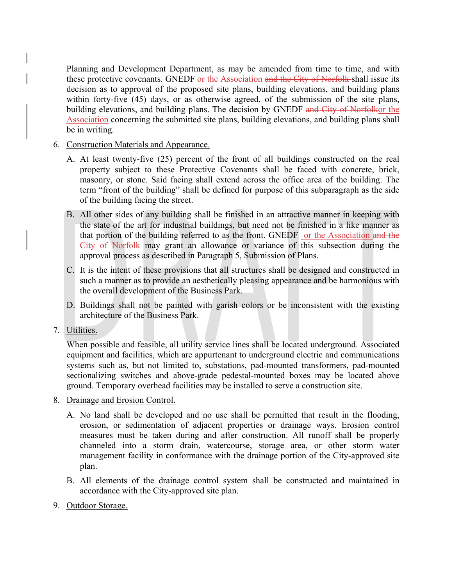Planning and Development Department, as may be amended from time to time, and with these protective covenants. GNEDF or the Association and the City of Norfolk shall issue its decision as to approval of the proposed site plans, building elevations, and building plans within forty-five (45) days, or as otherwise agreed, of the submission of the site plans, building elevations, and building plans. The decision by GNEDF and City of Norfolkor the Association concerning the submitted site plans, building elevations, and building plans shall be in writing.

- 6. Construction Materials and Appearance.
	- A. At least twenty-five (25) percent of the front of all buildings constructed on the real property subject to these Protective Covenants shall be faced with concrete, brick, masonry, or stone. Said facing shall extend across the office area of the building. The term "front of the building" shall be defined for purpose of this subparagraph as the side of the building facing the street.
	- B. All other sides of any building shall be finished in an attractive manner in keeping with the state of the art for industrial buildings, but need not be finished in a like manner as that portion of the building referred to as the front. GNEDF or the Association and the City of Norfolk may grant an allowance or variance of this subsection during the approval process as described in Paragraph 5, Submission of Plans.
	- C. It is the intent of these provisions that all structures shall be designed and constructed in such a manner as to provide an aesthetically pleasing appearance and be harmonious with the overall development of the Business Park.
	- D. Buildings shall not be painted with garish colors or be inconsistent with the existing architecture of the Business Park.
- 7. Utilities.

When possible and feasible, all utility service lines shall be located underground. Associated equipment and facilities, which are appurtenant to underground electric and communications systems such as, but not limited to, substations, pad-mounted transformers, pad-mounted sectionalizing switches and above-grade pedestal-mounted boxes may be located above ground. Temporary overhead facilities may be installed to serve a construction site.

- 8. Drainage and Erosion Control.
	- A. No land shall be developed and no use shall be permitted that result in the flooding, erosion, or sedimentation of adjacent properties or drainage ways. Erosion control measures must be taken during and after construction. All runoff shall be properly channeled into a storm drain, watercourse, storage area, or other storm water management facility in conformance with the drainage portion of the City-approved site plan.
	- B. All elements of the drainage control system shall be constructed and maintained in accordance with the City-approved site plan.
- 9. Outdoor Storage.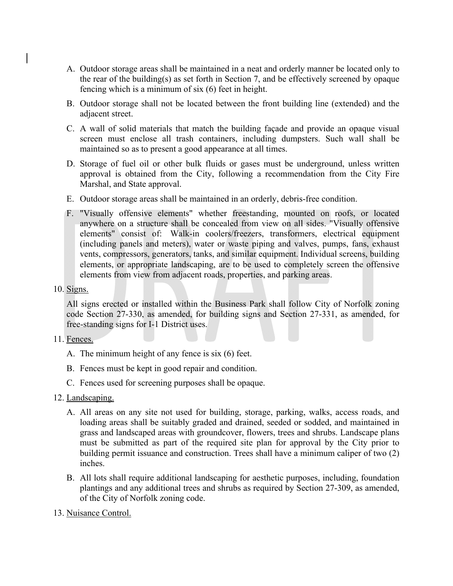- A. Outdoor storage areas shall be maintained in a neat and orderly manner be located only to the rear of the building(s) as set forth in Section 7, and be effectively screened by opaque fencing which is a minimum of six (6) feet in height.
- B. Outdoor storage shall not be located between the front building line (extended) and the adjacent street.
- C. A wall of solid materials that match the building façade and provide an opaque visual screen must enclose all trash containers, including dumpsters. Such wall shall be maintained so as to present a good appearance at all times.
- D. Storage of fuel oil or other bulk fluids or gases must be underground, unless written approval is obtained from the City, following a recommendation from the City Fire Marshal, and State approval.
- E. Outdoor storage areas shall be maintained in an orderly, debris-free condition.
- F. "Visually offensive elements" whether freestanding, mounted on roofs, or located anywhere on a structure shall be concealed from view on all sides. "Visually offensive elements" consist of: Walk-in coolers/freezers, transformers, electrical equipment (including panels and meters), water or waste piping and valves, pumps, fans, exhaust vents, compressors, generators, tanks, and similar equipment. Individual screens, building elements, or appropriate landscaping, are to be used to completely screen the offensive elements from view from adjacent roads, properties, and parking areas.
- 10. Signs.

All signs erected or installed within the Business Park shall follow City of Norfolk zoning code Section 27-330, as amended, for building signs and Section 27-331, as amended, for free-standing signs for I-1 District uses.

- 11. Fences.
	- A. The minimum height of any fence is six (6) feet.
	- B. Fences must be kept in good repair and condition.
	- C. Fences used for screening purposes shall be opaque.
- 12. Landscaping.
	- A. All areas on any site not used for building, storage, parking, walks, access roads, and loading areas shall be suitably graded and drained, seeded or sodded, and maintained in grass and landscaped areas with groundcover, flowers, trees and shrubs. Landscape plans must be submitted as part of the required site plan for approval by the City prior to building permit issuance and construction. Trees shall have a minimum caliper of two (2) inches.
	- B. All lots shall require additional landscaping for aesthetic purposes, including, foundation plantings and any additional trees and shrubs as required by Section 27-309, as amended, of the City of Norfolk zoning code.
- 13. Nuisance Control.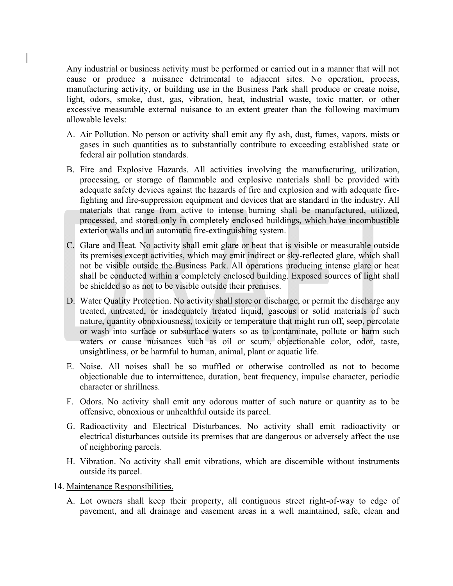Any industrial or business activity must be performed or carried out in a manner that will not cause or produce a nuisance detrimental to adjacent sites. No operation, process, manufacturing activity, or building use in the Business Park shall produce or create noise, light, odors, smoke, dust, gas, vibration, heat, industrial waste, toxic matter, or other excessive measurable external nuisance to an extent greater than the following maximum allowable levels:

- A. Air Pollution. No person or activity shall emit any fly ash, dust, fumes, vapors, mists or gases in such quantities as to substantially contribute to exceeding established state or federal air pollution standards.
- B. Fire and Explosive Hazards. All activities involving the manufacturing, utilization, processing, or storage of flammable and explosive materials shall be provided with adequate safety devices against the hazards of fire and explosion and with adequate firefighting and fire-suppression equipment and devices that are standard in the industry. All materials that range from active to intense burning shall be manufactured, utilized, processed, and stored only in completely enclosed buildings, which have incombustible exterior walls and an automatic fire-extinguishing system.
- C. Glare and Heat. No activity shall emit glare or heat that is visible or measurable outside its premises except activities, which may emit indirect or sky-reflected glare, which shall not be visible outside the Business Park. All operations producing intense glare or heat shall be conducted within a completely enclosed building. Exposed sources of light shall be shielded so as not to be visible outside their premises.
- D. Water Quality Protection. No activity shall store or discharge, or permit the discharge any treated, untreated, or inadequately treated liquid, gaseous or solid materials of such nature, quantity obnoxiousness, toxicity or temperature that might run off, seep, percolate or wash into surface or subsurface waters so as to contaminate, pollute or harm such waters or cause nuisances such as oil or scum, objectionable color, odor, taste, unsightliness, or be harmful to human, animal, plant or aquatic life.
- E. Noise. All noises shall be so muffled or otherwise controlled as not to become objectionable due to intermittence, duration, beat frequency, impulse character, periodic character or shrillness.
- F. Odors. No activity shall emit any odorous matter of such nature or quantity as to be offensive, obnoxious or unhealthful outside its parcel.
- G. Radioactivity and Electrical Disturbances. No activity shall emit radioactivity or electrical disturbances outside its premises that are dangerous or adversely affect the use of neighboring parcels.
- H. Vibration. No activity shall emit vibrations, which are discernible without instruments outside its parcel.
- 14. Maintenance Responsibilities.
	- A. Lot owners shall keep their property, all contiguous street right-of-way to edge of pavement, and all drainage and easement areas in a well maintained, safe, clean and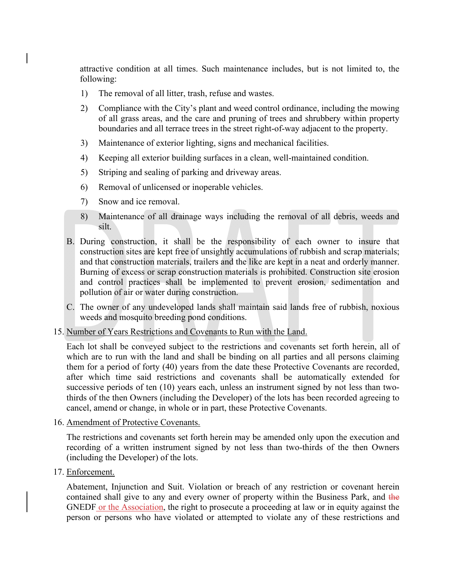attractive condition at all times. Such maintenance includes, but is not limited to, the following:

- 1) The removal of all litter, trash, refuse and wastes.
- 2) Compliance with the City's plant and weed control ordinance, including the mowing of all grass areas, and the care and pruning of trees and shrubbery within property boundaries and all terrace trees in the street right-of-way adjacent to the property.
- 3) Maintenance of exterior lighting, signs and mechanical facilities.
- 4) Keeping all exterior building surfaces in a clean, well-maintained condition.
- 5) Striping and sealing of parking and driveway areas.
- 6) Removal of unlicensed or inoperable vehicles.
- 7) Snow and ice removal.
- 8) Maintenance of all drainage ways including the removal of all debris, weeds and silt.
- B. During construction, it shall be the responsibility of each owner to insure that construction sites are kept free of unsightly accumulations of rubbish and scrap materials; and that construction materials, trailers and the like are kept in a neat and orderly manner. Burning of excess or scrap construction materials is prohibited. Construction site erosion and control practices shall be implemented to prevent erosion, sedimentation and pollution of air or water during construction.
- C. The owner of any undeveloped lands shall maintain said lands free of rubbish, noxious weeds and mosquito breeding pond conditions.
- 15. Number of Years Restrictions and Covenants to Run with the Land.

Each lot shall be conveyed subject to the restrictions and covenants set forth herein, all of which are to run with the land and shall be binding on all parties and all persons claiming them for a period of forty (40) years from the date these Protective Covenants are recorded, after which time said restrictions and covenants shall be automatically extended for successive periods of ten (10) years each, unless an instrument signed by not less than twothirds of the then Owners (including the Developer) of the lots has been recorded agreeing to cancel, amend or change, in whole or in part, these Protective Covenants.

16. Amendment of Protective Covenants.

The restrictions and covenants set forth herein may be amended only upon the execution and recording of a written instrument signed by not less than two-thirds of the then Owners (including the Developer) of the lots.

17. Enforcement.

Abatement, Injunction and Suit. Violation or breach of any restriction or covenant herein contained shall give to any and every owner of property within the Business Park, and the GNEDF or the Association, the right to prosecute a proceeding at law or in equity against the person or persons who have violated or attempted to violate any of these restrictions and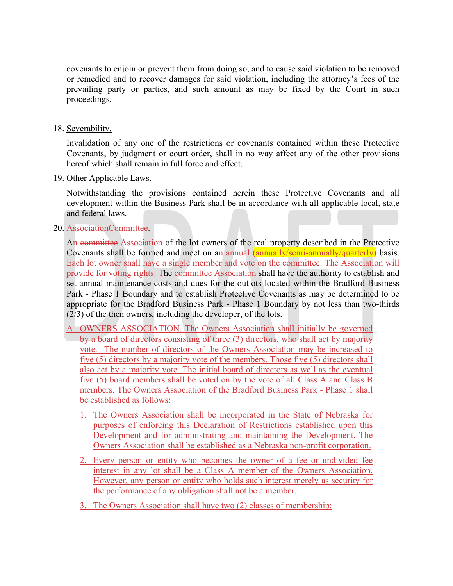covenants to enjoin or prevent them from doing so, and to cause said violation to be removed or remedied and to recover damages for said violation, including the attorney's fees of the prevailing party or parties, and such amount as may be fixed by the Court in such proceedings.

## 18. Severability.

Invalidation of any one of the restrictions or covenants contained within these Protective Covenants, by judgment or court order, shall in no way affect any of the other provisions hereof which shall remain in full force and effect.

#### 19. Other Applicable Laws.

Notwithstanding the provisions contained herein these Protective Covenants and all development within the Business Park shall be in accordance with all applicable local, state and federal laws.

## 20. AssociationCommittee.

An committee Association of the lot owners of the real property described in the Protective Covenants shall be formed and meet on an annual *(annually/semi-annually/quarterly)*-basis. Each lot owner shall have a single member and vote on the committee. The Association will provide for voting rights. The committee Association shall have the authority to establish and set annual maintenance costs and dues for the outlots located within the Bradford Business Park - Phase 1 Boundary and to establish Protective Covenants as may be determined to be appropriate for the Bradford Business Park - Phase 1 Boundary by not less than two-thirds (2/3) of the then owners, including the developer, of the lots.

- A. OWNERS ASSOCIATION. The Owners Association shall initially be governed by a board of directors consisting of three (3) directors, who shall act by majority vote. The number of directors of the Owners Association may be increased to five (5) directors by a majority vote of the members. Those five (5) directors shall also act by a majority vote. The initial board of directors as well as the eventual five (5) board members shall be voted on by the vote of all Class A and Class B members. The Owners Association of the Bradford Business Park - Phase 1 shall be established as follows:
	- 1. The Owners Association shall be incorporated in the State of Nebraska for purposes of enforcing this Declaration of Restrictions established upon this Development and for administrating and maintaining the Development. The Owners Association shall be established as a Nebraska non-profit corporation.
	- 2. Every person or entity who becomes the owner of a fee or undivided fee interest in any lot shall be a Class A member of the Owners Association. However, any person or entity who holds such interest merely as security for the performance of any obligation shall not be a member.
	- 3. The Owners Association shall have two (2) classes of membership: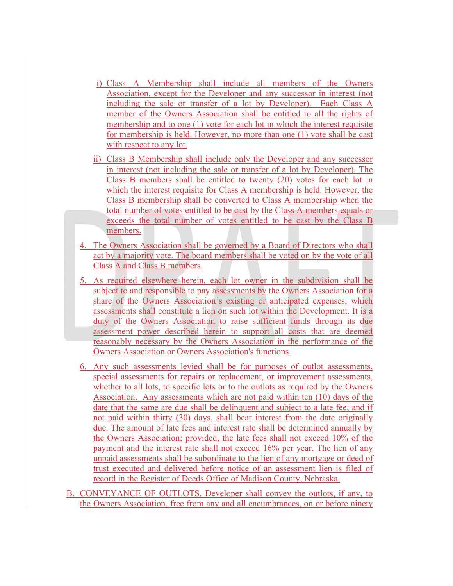- i) Class A Membership shall include all members of the Owners Association, except for the Developer and any successor in interest (not including the sale or transfer of a lot by Developer). Each Class A member of the Owners Association shall be entitled to all the rights of membership and to one (1) vote for each lot in which the interest requisite for membership is held. However, no more than one (1) vote shall be cast with respect to any lot.
- ii) Class B Membership shall include only the Developer and any successor in interest (not including the sale or transfer of a lot by Developer). The Class B members shall be entitled to twenty (20) votes for each lot in which the interest requisite for Class A membership is held. However, the Class B membership shall be converted to Class A membership when the total number of votes entitled to be cast by the Class A members equals or exceeds the total number of votes entitled to be cast by the Class B members.
- 4. The Owners Association shall be governed by a Board of Directors who shall act by a majority vote. The board members shall be voted on by the vote of all Class A and Class B members.
- 5. As required elsewhere herein, each lot owner in the subdivision shall be subject to and responsible to pay assessments by the Owners Association for a share of the Owners Association's existing or anticipated expenses, which assessments shall constitute a lien on such lot within the Development. It is a duty of the Owners Association to raise sufficient funds through its due assessment power described herein to support all costs that are deemed reasonably necessary by the Owners Association in the performance of the Owners Association or Owners Association's functions.
- 6. Any such assessments levied shall be for purposes of outlot assessments, special assessments for repairs or replacement, or improvement assessments, whether to all lots, to specific lots or to the outlots as required by the Owners Association. Any assessments which are not paid within ten (10) days of the date that the same are due shall be delinquent and subject to a late fee; and if not paid within thirty (30) days, shall bear interest from the date originally due. The amount of late fees and interest rate shall be determined annually by the Owners Association; provided, the late fees shall not exceed 10% of the payment and the interest rate shall not exceed 16% per year. The lien of any unpaid assessments shall be subordinate to the lien of any mortgage or deed of trust executed and delivered before notice of an assessment lien is filed of record in the Register of Deeds Office of Madison County, Nebraska.
- B. CONVEYANCE OF OUTLOTS. Developer shall convey the outlots, if any, to the Owners Association, free from any and all encumbrances, on or before ninety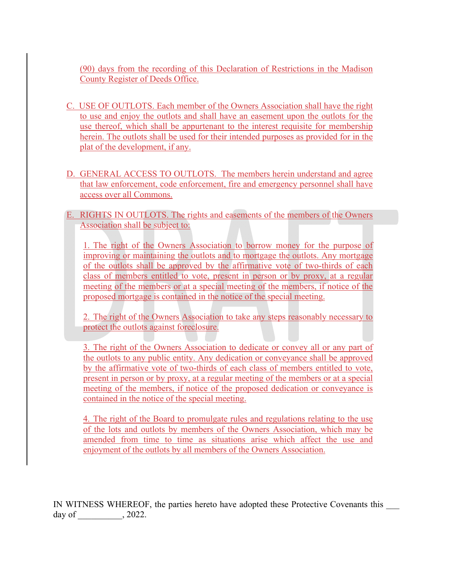(90) days from the recording of this Declaration of Restrictions in the Madison County Register of Deeds Office.

- C. USE OF OUTLOTS. Each member of the Owners Association shall have the right to use and enjoy the outlots and shall have an easement upon the outlots for the use thereof, which shall be appurtenant to the interest requisite for membership herein. The outlots shall be used for their intended purposes as provided for in the plat of the development, if any.
- D. GENERAL ACCESS TO OUTLOTS. The members herein understand and agree that law enforcement, code enforcement, fire and emergency personnel shall have access over all Commons.
- E. RIGHTS IN OUTLOTS. The rights and easements of the members of the Owners Association shall be subject to:

1. The right of the Owners Association to borrow money for the purpose of improving or maintaining the outlots and to mortgage the outlots. Any mortgage of the outlots shall be approved by the affirmative vote of two-thirds of each class of members entitled to vote, present in person or by proxy, at a regular meeting of the members or at a special meeting of the members, if notice of the proposed mortgage is contained in the notice of the special meeting.

2. The right of the Owners Association to take any steps reasonably necessary to protect the outlots against foreclosure.

3. The right of the Owners Association to dedicate or convey all or any part of the outlots to any public entity. Any dedication or conveyance shall be approved by the affirmative vote of two-thirds of each class of members entitled to vote, present in person or by proxy, at a regular meeting of the members or at a special meeting of the members, if notice of the proposed dedication or conveyance is contained in the notice of the special meeting.

4. The right of the Board to promulgate rules and regulations relating to the use of the lots and outlots by members of the Owners Association, which may be amended from time to time as situations arise which affect the use and enjoyment of the outlots by all members of the Owners Association.

IN WITNESS WHEREOF, the parties hereto have adopted these Protective Covenants this day of  $\qquad \qquad , 2022.$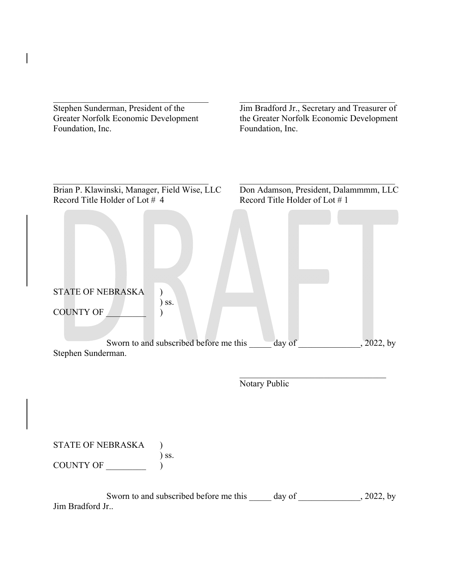| Stephen Sunderman, President of the<br>Greater Norfolk Economic Development<br>Foundation, Inc.                                          | Jim Bradford Jr., Secretary and Treasurer of<br>the Greater Norfolk Economic Development<br>Foundation, Inc. |  |  |
|------------------------------------------------------------------------------------------------------------------------------------------|--------------------------------------------------------------------------------------------------------------|--|--|
| Brian P. Klawinski, Manager, Field Wise, LLC<br>Record Title Holder of Lot #4<br><b>STATE OF NEBRASKA</b><br>$)$ ss.<br><b>COUNTY OF</b> | Don Adamson, President, Dalammmm, LLC<br>Record Title Holder of Lot #1                                       |  |  |
| Sworn to and subscribed before me this<br>Stephen Sunderman.                                                                             | day of<br>2022, by                                                                                           |  |  |
|                                                                                                                                          | Notary Public                                                                                                |  |  |
| STATE OF NEBRASKA<br>COUNTY OF<br>$\int$ SS.                                                                                             |                                                                                                              |  |  |
| Jim Bradford Jr                                                                                                                          | Sworn to and subscribed before me this ______ day of _______________, 2022, by                               |  |  |